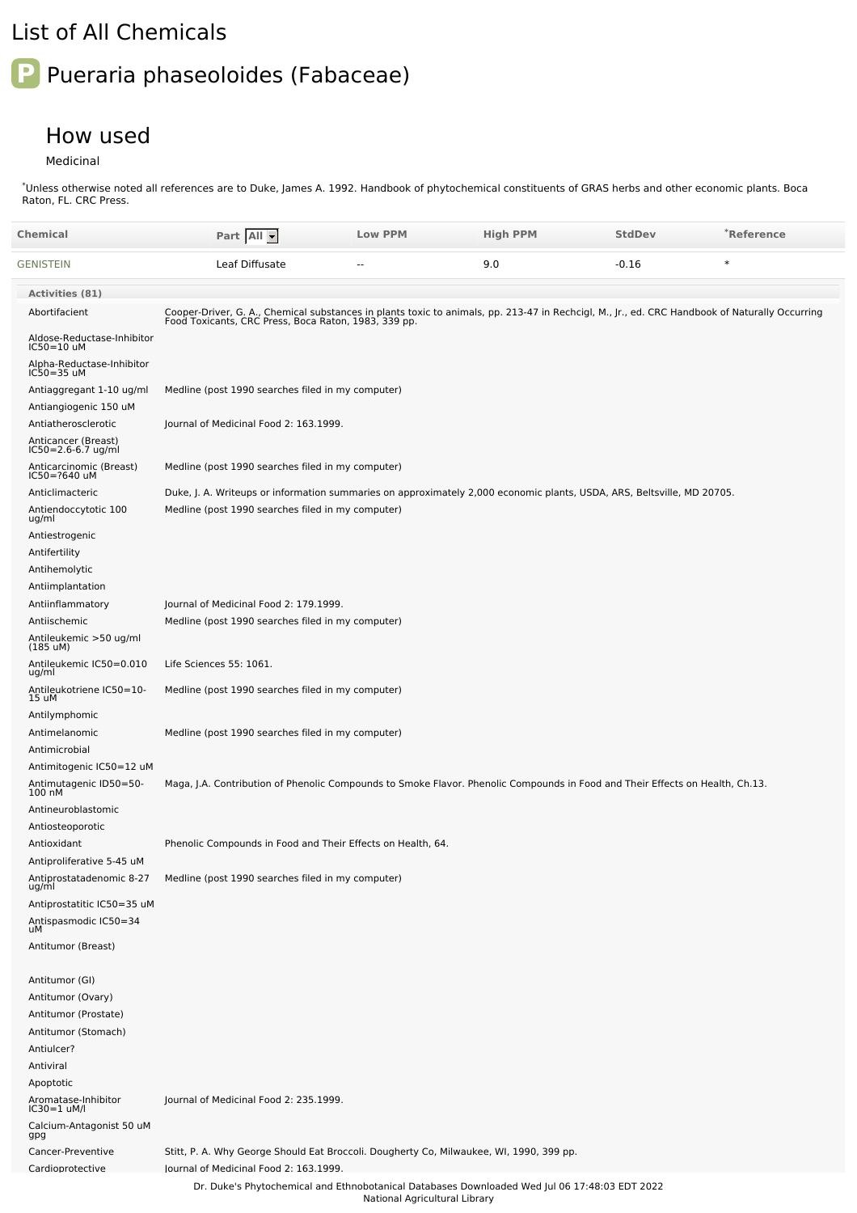## List of All Chemicals

## **P** Pueraria phaseoloides (Fabaceae)

## How used

Medicinal

\*Unless otherwise noted all references are to Duke, James A. 1992. Handbook of phytochemical constituents of GRAS herbs and other economic plants. Boca Raton, FL. CRC Press.

| Chemical                                          | Part All                                                                                                                                                                                               | <b>Low PPM</b>                | <b>High PPM</b> | <b>StdDev</b> | *Reference |
|---------------------------------------------------|--------------------------------------------------------------------------------------------------------------------------------------------------------------------------------------------------------|-------------------------------|-----------------|---------------|------------|
| GENISTEIN                                         | Leaf Diffusate                                                                                                                                                                                         |                               | 9.0             | $-0.16$       | $\ast$     |
| <b>Activities (81)</b>                            |                                                                                                                                                                                                        |                               |                 |               |            |
| Abortifacient                                     | Cooper-Driver, G. A., Chemical substances in plants toxic to animals, pp. 213-47 in Rechcigl, M., Jr., ed. CRC Handbook of Naturally Occurring<br>Food Toxicants, CRC Press, Boca Raton, 1983, 339 pp. |                               |                 |               |            |
| Aldose-Reductase-Inhibitor<br>IC50=10 uM          |                                                                                                                                                                                                        |                               |                 |               |            |
| Alpha-Reductase-Inhibitor<br>IC50=35 uM           |                                                                                                                                                                                                        |                               |                 |               |            |
| Antiaggregant 1-10 ug/ml<br>Antiangiogenic 150 uM | Medline (post 1990 searches filed in my computer)                                                                                                                                                      |                               |                 |               |            |
| Antiatherosclerotic                               | Journal of Medicinal Food 2: 163.1999.                                                                                                                                                                 |                               |                 |               |            |
| Anticancer (Breast)<br>IC50=2.6-6.7 ug/ml         |                                                                                                                                                                                                        |                               |                 |               |            |
| Anticarcinomic (Breast)<br>IC50=?640 uM           | Medline (post 1990 searches filed in my computer)                                                                                                                                                      |                               |                 |               |            |
| Anticlimacteric                                   | Duke, J. A. Writeups or information summaries on approximately 2,000 economic plants, USDA, ARS, Beltsville, MD 20705.                                                                                 |                               |                 |               |            |
| Antiendoccytotic 100<br>ug/ml                     | Medline (post 1990 searches filed in my computer)                                                                                                                                                      |                               |                 |               |            |
| Antiestrogenic                                    |                                                                                                                                                                                                        |                               |                 |               |            |
| Antifertility<br>Antihemolytic                    |                                                                                                                                                                                                        |                               |                 |               |            |
| Antiimplantation                                  |                                                                                                                                                                                                        |                               |                 |               |            |
| Antiinflammatory                                  | Journal of Medicinal Food 2: 179.1999.                                                                                                                                                                 |                               |                 |               |            |
| Antiischemic                                      | Medline (post 1990 searches filed in my computer)                                                                                                                                                      |                               |                 |               |            |
| Antileukemic >50 ug/ml<br>$(185 \text{ uM})$      |                                                                                                                                                                                                        |                               |                 |               |            |
| Antileukemic IC50=0.010<br>ug/ml                  | Life Sciences 55: 1061.                                                                                                                                                                                |                               |                 |               |            |
| Antileukotriene IC50=10-<br>15 uM                 | Medline (post 1990 searches filed in my computer)                                                                                                                                                      |                               |                 |               |            |
| Antilymphomic                                     |                                                                                                                                                                                                        |                               |                 |               |            |
| Antimelanomic<br>Antimicrobial                    | Medline (post 1990 searches filed in my computer)                                                                                                                                                      |                               |                 |               |            |
| Antimitogenic IC50=12 uM                          |                                                                                                                                                                                                        |                               |                 |               |            |
| Antimutagenic ID50=50-<br>100 nM                  | Maga, J.A. Contribution of Phenolic Compounds to Smoke Flavor. Phenolic Compounds in Food and Their Effects on Health, Ch.13.                                                                          |                               |                 |               |            |
| Antineuroblastomic                                |                                                                                                                                                                                                        |                               |                 |               |            |
| Antiosteoporotic                                  |                                                                                                                                                                                                        |                               |                 |               |            |
| Antioxidant<br>Antiproliferative 5-45 uM          | Phenolic Compounds in Food and Their Effects on Health, 64.                                                                                                                                            |                               |                 |               |            |
| Antiprostatadenomic 8-27<br>ug/ml                 | Medline (post 1990 searches filed in my computer)                                                                                                                                                      |                               |                 |               |            |
| Antiprostatitic IC50=35 uM                        |                                                                                                                                                                                                        |                               |                 |               |            |
| Antispasmodic IC50=34<br>uM                       |                                                                                                                                                                                                        |                               |                 |               |            |
| Antitumor (Breast)                                |                                                                                                                                                                                                        |                               |                 |               |            |
| Antitumor (GI)                                    |                                                                                                                                                                                                        |                               |                 |               |            |
| Antitumor (Ovary)                                 |                                                                                                                                                                                                        |                               |                 |               |            |
| Antitumor (Prostate)                              |                                                                                                                                                                                                        |                               |                 |               |            |
| Antitumor (Stomach)                               |                                                                                                                                                                                                        |                               |                 |               |            |
| Antiulcer?                                        |                                                                                                                                                                                                        |                               |                 |               |            |
| Antiviral<br>Apoptotic                            |                                                                                                                                                                                                        |                               |                 |               |            |
| Aromatase-Inhibitor<br>IC30=1 uM/l                | Journal of Medicinal Food 2: 235.1999.                                                                                                                                                                 |                               |                 |               |            |
| Calcium-Antagonist 50 uM<br>gpg                   |                                                                                                                                                                                                        |                               |                 |               |            |
| Cancer-Preventive                                 | Stitt, P. A. Why George Should Eat Broccoli. Dougherty Co, Milwaukee, WI, 1990, 399 pp.                                                                                                                |                               |                 |               |            |
| Cardioprotective                                  | lournal of Medicinal Food 2: 163.1999.                                                                                                                                                                 |                               |                 |               |            |
|                                                   | Dr. Duke's Phytochemical and Ethnobotanical Databases Downloaded Wed Jul 06 17:48:03 EDT 2022                                                                                                          | National Agricultural Library |                 |               |            |